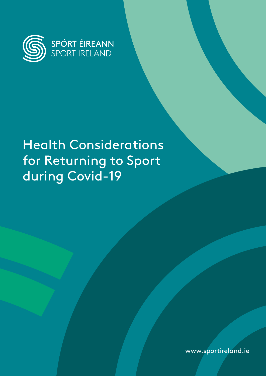

# Health Considerations for Returning to Sport during Covid-19

www.sportireland.ie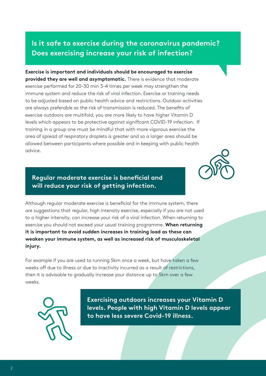### **Is it safe to exercise during the coronavirus pandemic? Does exercising increase your risk of infection?**

**Exercise is important and individuals should be encouraged to exercise provided they are well and asymptomatic.** There is evidence that moderate exercise performed for 20–30 min 3–4 times per week may strengthen the immune system and reduce the risk of viral infection. Exercise or training needs to be adjusted based on public health advice and restrictions. Outdoor activities are always preferable as the risk of transmission is reduced. The benefits of exercise outdoors are multifold, you are more likely to have higher Vitamin D levels which appears to be protective against significant COVID-19 infection. If training in a group one must be mindful that with more vigorous exercise the area of spread of respiratory droplets is greater and so a larger area should be allowed between participants where possible and in keeping with public health advice.



#### **Regular moderate exercise is beneficial and will reduce your risk of getting infection.**

Although regular moderate exercise is beneficial for the immune system, there are suggestions that regular, high intensity exercise, especially if you are not used to a higher intensity, can increase your risk of a viral infection. When returning to exercise you should not exceed your usual training programme. **When returning it is important to avoid sudden increases in training load as these can weaken your immune system, as well as increased risk of musculoskeletal injury.** 

For example if you are used to running 5km once a week, but have taken a few weeks off due to illness or due to inactivity incurred as a result of restrictions, then it is advisable to gradually increase your distance up to 5km over a few weeks.



**Exercising outdoors increases your Vitamin D levels. People with high Vitamin D levels appear to have less severe Covid-19 illness.**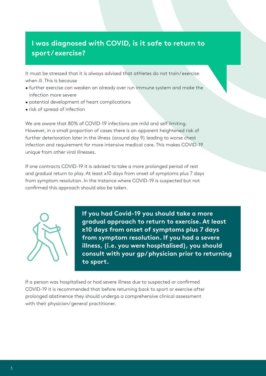## **I was diagnosed with COVID, is it safe to return to sport/ exercise?**

It must be stressed that it is always advised that athletes do not train/ exercise when ill. This is because

- further exercise can weaken an already over run immune system and make the infection more severe
- potential development of heart complications
- risk of spread of infection

We are aware that 80% of COVID-19 infections are mild and self limiting. However, in a small proportion of cases there is an apparent heightened risk of further deterioration later in the illness (around day 9) leading to worse chest infection and requirement for more intensive medical care. This makes COVID-19 unique from other viral illnesses.

If one contracts COVID-19 it is advised to take a more prolonged period of rest and gradual return to play. At least ≥10 days from onset of symptoms plus 7 days from symptom resolution. In the instance where COVID-19 is suspected but not confirmed this approach should also be taken.



**If you had Covid-19 you should take a more gradual approach to return to exercise. At least ≥10 days from onset of symptoms plus 7 days from symptom resolution. If you had a severe illness, (i.e. you were hospitalised), you should consult with your gp/ physician prior to returning to sport.**

If a person was hospitalised or had severe illness due to suspected or confirmed COVID-19 it is recommended that before returning back to sport or exercise after prolonged abstinence they should undergo a comprehensive clinical assessment with their physician/ general practitioner.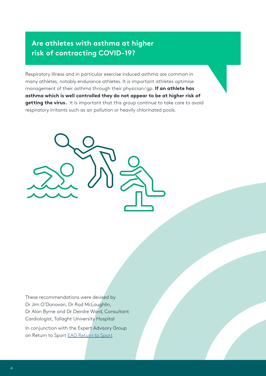## **Are athletes with asthma at higher risk of contracting COVID-19?**

Respiratory illness and in particular exercise induced asthma are common in many athletes, notably endurance athletes. It is important athletes optimise management of their asthma through their physician/ gp. **If an athlete has asthma which is well controlled they do not appear to be at higher risk of getting the virus.** It is important that this group continue to take care to avoid respiratory irritants such as air pollution or heavily chlorinated pools.



These recommendations were devised by Dr Jim O'Donovan, Dr Rod McLoughlin, Dr Alan Byrne and Dr Deirdre Ward, Consultant Cardiologist, Tallaght University Hospital

In conjunction with the Expert Advisory Group on Return to Sport [EAG Return to Sport](https://www.gov.ie/en/press-release/52cf81-ministers-ross-and-griffin-establish-return-to-sport-expert-group/)